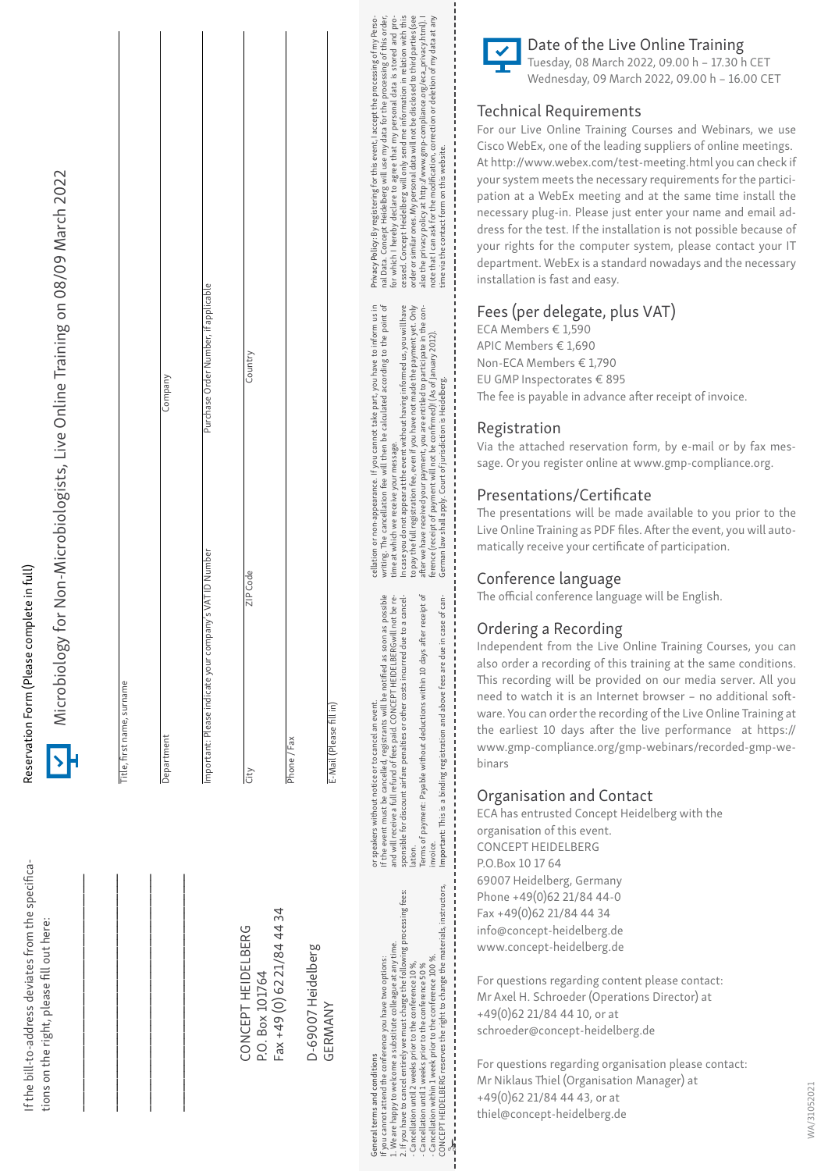| for Non-Microbiologists, Live Online Training on 08/09 March 2022<br>Microbiology |                            | Company    | Purchase Order Number, if applicable                    | Country                               |                            |                               | cessed. Concept Heidelberg will only send me information in relation with this<br>nal Data. Concept Heidelberg will use my data for the processing of this order,<br>for which I hereby declare to agree that my personal data is stored and pro-<br>order or similar ones. My personal data will not be disclosed to third parties (see<br>Privacy Policy: By registering for this event, I accept the processing of my Perso-<br>also the privacy policy at http://www.gmp-compliance.org/eca_privacy.html). I<br>note that I can ask for the modification, correction or deletion of my data at any<br>time via the contact form on this website.<br>cellation or non-appearance. If you cannot take part, you have to inform us in<br>In case you do not appear at the event without having informed us, you will have<br>writing. The cancellation fee will then be calculated according to the point of<br>after we have received your payment, you are entitled to participate in the con-<br>co pay the full registration fee, even if you have not made the payment yet. Only<br>ference (receipt of payment will not be confirmed)! (As of January 2012). |
|-----------------------------------------------------------------------------------|----------------------------|------------|---------------------------------------------------------|---------------------------------------|----------------------------|-------------------------------|---------------------------------------------------------------------------------------------------------------------------------------------------------------------------------------------------------------------------------------------------------------------------------------------------------------------------------------------------------------------------------------------------------------------------------------------------------------------------------------------------------------------------------------------------------------------------------------------------------------------------------------------------------------------------------------------------------------------------------------------------------------------------------------------------------------------------------------------------------------------------------------------------------------------------------------------------------------------------------------------------------------------------------------------------------------------------------------------------------------------------------------------------------------------|
|                                                                                   | Title, first name, surname | Department | Important: Please indicate your company's VAT ID Number | ZIP Code<br>City                      | Phone / Fax                | E-Mail (Please fillin)        | German law shall apply. Court of jurisdiction is Heidelberg.<br>time at which we receive your message.<br>If the event must be cancelled, registrants will be notified as soon as possible<br>sponsible for discount airfare penalties or other costs incurred due to a cancel-<br>Terms of payment: Payable without deductions within 10 days after receipt of<br>and will receive a full refund of fees paid. CONCEPT HEIDELBERGwill not be re-<br>Important: This is a binding registration and above fees are due in case of can-<br>or speakers without notice or to cancel an event.                                                                                                                                                                                                                                                                                                                                                                                                                                                                                                                                                                          |
| tions on the right, please fill out here:                                         |                            |            |                                                         | CONCEPT HEIDELBERG<br>P.O. Box 101764 | Fax +49 (0) 62 21/84 44 34 | D-69007 Heidelberg<br>GERMANY | nvoice.<br>lation.<br>CONCEPT HEIDELBERG reserves the right to change the materials, instructors,<br>If you have to cancel entirely we must charge the following processing fees:<br>L. We are happy to welcome a substitute colleague at any time.<br>Cancellation within 1 week prior to the conference 100%.<br>f you cannot attend the conference you have two options:<br>Cancellation until 2 weeks prior to the conference 10 %,<br>Cancellation until 1 weeks prior to the conference 50 %<br>General terms and conditions                                                                                                                                                                                                                                                                                                                                                                                                                                                                                                                                                                                                                                  |

If the bill-to-address deviates from the specifica-

f the bill-to-address deviates from the specifica-

Reservation Form (Please complete in full)

Reservation Form (Please complete in full)



Date of the Live Online Training Tuesday, 08 March 2022, 09.00 h – 17.30 h CET Wednesday, 09 March 2022, 09.00 h – 16.00 CET

#### Technical Requirements

For our Live Online Training Courses and Webinars, we use Cisco WebEx, one of the leading suppliers of online meetings. At http://www.webex.com/test-meeting.html you can check if your system meets the necessary requirements for the partici pation at a WebEx meeting and at the same time install the necessary plug-in. Please just enter your name and email ad dress for the test. If the installation is not possible because of your rights for the computer system, please contact your IT department. WebEx is a standard nowadays and the necessary installation is fast and easy.

#### Fees (per delegate, plus VAT)

ECA Members € 1,590 APIC Members € 1,690 Non-ECA Members € 1,790 EU GMP Inspectorates € 895 The fee is payable in advance after receipt of invoice.

#### Registration

Via the attached reservation form, by e-mail or by fax mes sage. Or you register online at www.gmp-compliance.org.

#### Presentations/Certificate

The presentations will be made available to you prior to the Live Online Training as PDF files. After the event, you will auto matically receive your certificate of participation.

#### Conference language

The official conference language will be English.

#### Ordering a Recording

Independent from the Live Online Training Courses, you can also order a recording of this training at the same conditions. This recording will be provided on our media server. All you need to watch it is an Internet browser – no additional soft ware. You can order the recording of the Live Online Training at the earliest 10 days after the live performance at https:// www.gmp-compliance.org/gmp-webinars/recorded-gmp-we binars

#### Organisation and Contact

ECA has entrusted Concept Heidelberg with the organisation of this event. CONCEPT HEIDELBERG P.O.Box 10 17 64 69007 Heidelberg, Germany Phone +49(0)62 21/84 44-0 Fax +49(0)62 21/84 44 34 info@concept-heidelberg.de www.concept-heidelberg.de

For questions regarding content please contact: Mr Axel H. Schroeder (Operations Director) at +49(0)62 21/84 44 10, or at schroeder@concept-heidelberg.de

 $\frac{1}{2}$ 

For questions regarding organisation please contact: Mr Niklaus Thiel (Organisation Manager) at +49(0)62 21/84 44 43, or at thiel@concept-heidelberg.de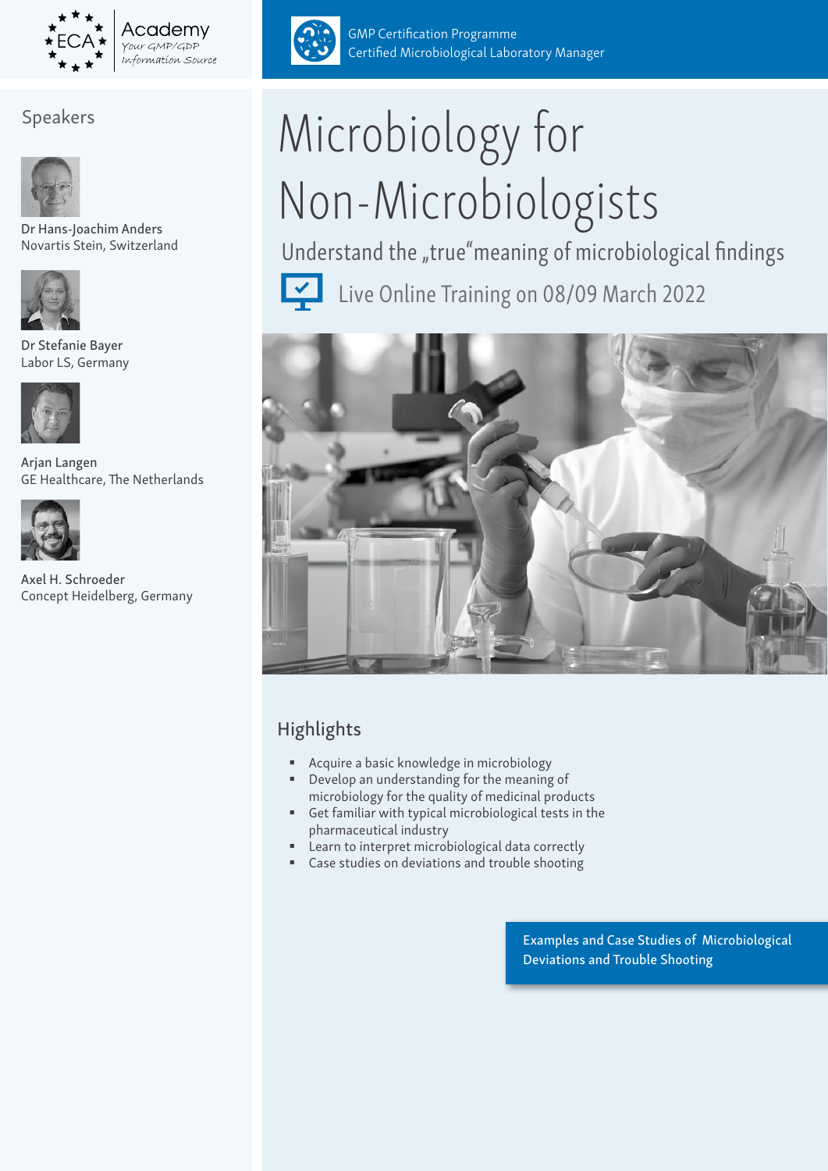

Academv Your GMP/GDP information Source

#### Speakers



Dr Hans-Joachim Anders Novartis Stein, Switzerland



Dr Stefanie Bayer Labor LS, Germany



Arjan Langen GE Healthcare, The Netherlands



Axel H. Schroeder Concept Heidelberg, Germany



GMP Certification Programme Certified Microbiological Laboratory Manager

# Microbiology for Non-Microbiologists

Understand the "true"meaning of microbiological findings



Live Online Training on 08/09 March 2022



## Highlights

- Acquire a basic knowledge in microbiology
- Develop an understanding for the meaning of microbiology for the quality of medicinal products
- Get familiar with typical microbiological tests in the pharmaceutical industry
- **EXECTE:** Learn to interpret microbiological data correctly
- Case studies on deviations and trouble shooting

Examples and Case Studies of Microbiological Deviations and Trouble Shooting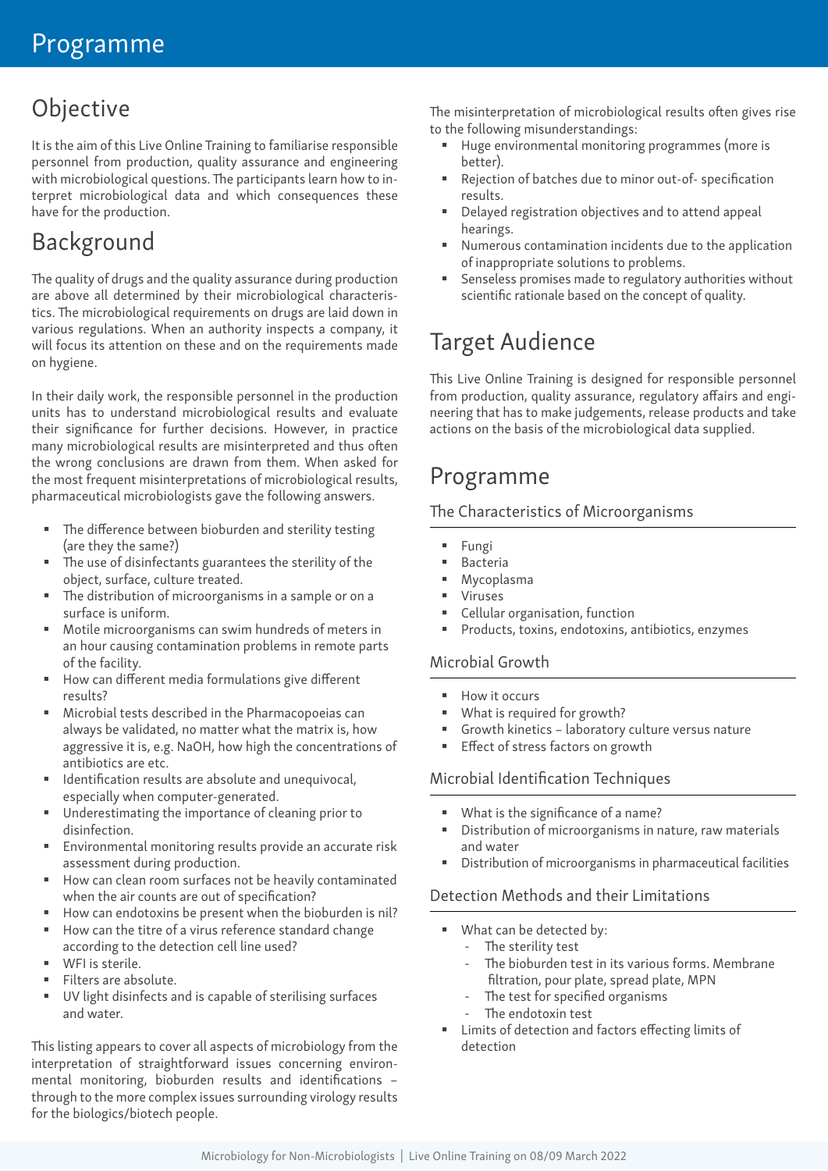# Objective

It is the aim of this Live Online Training to familiarise responsible personnel from production, quality assurance and engineering with microbiological questions. The participants learn how to interpret microbiological data and which consequences these have for the production.

# Background

The quality of drugs and the quality assurance during production are above all determined by their microbiological characteristics. The microbiological requirements on drugs are laid down in various regulations. When an authority inspects a company, it will focus its attention on these and on the requirements made on hygiene.

In their daily work, the responsible personnel in the production units has to understand microbiological results and evaluate their significance for further decisions. However, in practice many microbiological results are misinterpreted and thus often the wrong conclusions are drawn from them. When asked for the most frequent misinterpretations of microbiological results, pharmaceutical microbiologists gave the following answers.

- The difference between bioburden and sterility testing (are they the same?)
- The use of disinfectants guarantees the sterility of the object, surface, culture treated.
- The distribution of microorganisms in a sample or on a surface is uniform.
- Motile microorganisms can swim hundreds of meters in an hour causing contamination problems in remote parts of the facility.
- How can different media formulations give different results?
- Microbial tests described in the Pharmacopoeias can always be validated, no matter what the matrix is, how aggressive it is, e.g. NaOH, how high the concentrations of antibiotics are etc.
- Identification results are absolute and unequivocal, especially when computer-generated.
- Underestimating the importance of cleaning prior to disinfection.
- Environmental monitoring results provide an accurate risk assessment during production.
- How can clean room surfaces not be heavily contaminated when the air counts are out of specification?
- How can endotoxins be present when the bioburden is nil?
- How can the titre of a virus reference standard change according to the detection cell line used?
- WFI is sterile.
- Filters are absolute.
- UV light disinfects and is capable of sterilising surfaces and water.

This listing appears to cover all aspects of microbiology from the interpretation of straightforward issues concerning environmental monitoring, bioburden results and identifications – through to the more complex issues surrounding virology results for the biologics/biotech people.

The misinterpretation of microbiological results often gives rise to the following misunderstandings:

- Huge environmental monitoring programmes (more is better).
- Rejection of batches due to minor out-of- specification results.
- Delayed registration objectives and to attend appeal hearings.
- Numerous contamination incidents due to the application of inappropriate solutions to problems.
- Senseless promises made to regulatory authorities without scientific rationale based on the concept of quality.

# Target Audience

This Live Online Training is designed for responsible personnel from production, quality assurance, regulatory affairs and engineering that has to make judgements, release products and take actions on the basis of the microbiological data supplied.

## Programme

#### The Characteristics of Microorganisms

- **Fungi**
- Bacteria
- Mycoplasma
- Viruses
- Cellular organisation, function
- Products, toxins, endotoxins, antibiotics, enzymes

#### Microbial Growth

- How it occurs
- What is required for growth?
- Growth kinetics laboratory culture versus nature
- Effect of stress factors on growth

#### Microbial Identification Techniques

- What is the significance of a name?
- Distribution of microorganisms in nature, raw materials and water
- Distribution of microorganisms in pharmaceutical facilities

#### Detection Methods and their Limitations

- What can be detected by:
	- The sterility test
	- The bioburden test in its various forms. Membrane filtration, pour plate, spread plate, MPN
	- The test for specified organisms
	- The endotoxin test
- Limits of detection and factors effecting limits of detection